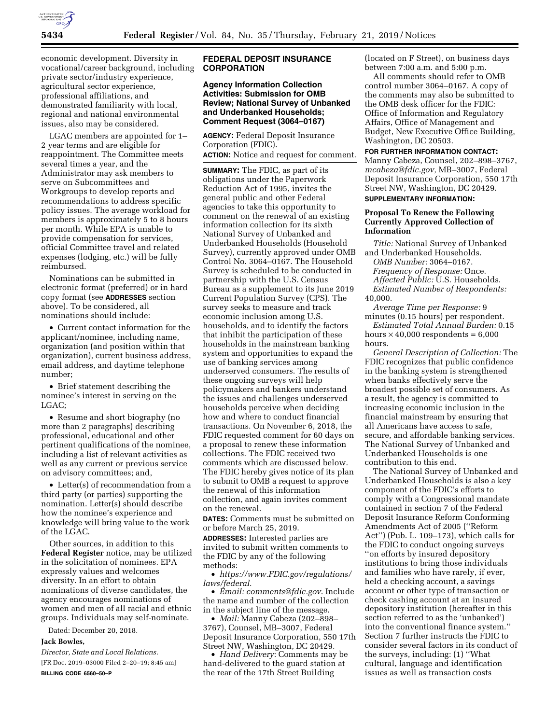

economic development. Diversity in vocational/career background, including private sector/industry experience, agricultural sector experience, professional affiliations, and demonstrated familiarity with local, regional and national environmental issues, also may be considered.

LGAC members are appointed for 1– 2 year terms and are eligible for reappointment. The Committee meets several times a year, and the Administrator may ask members to serve on Subcommittees and Workgroups to develop reports and recommendations to address specific policy issues. The average workload for members is approximately 5 to 8 hours per month. While EPA is unable to provide compensation for services, official Committee travel and related expenses (lodging, etc.) will be fully reimbursed.

Nominations can be submitted in electronic format (preferred) or in hard copy format (see **ADDRESSES** section above). To be considered, all nominations should include:

• Current contact information for the applicant/nominee, including name, organization (and position within that organization), current business address, email address, and daytime telephone number;

• Brief statement describing the nominee's interest in serving on the LGAC;

• Resume and short biography (no more than 2 paragraphs) describing professional, educational and other pertinent qualifications of the nominee, including a list of relevant activities as well as any current or previous service on advisory committees; and,

• Letter(s) of recommendation from a third party (or parties) supporting the nomination. Letter(s) should describe how the nominee's experience and knowledge will bring value to the work of the LGAC.

Other sources, in addition to this **Federal Register** notice, may be utilized in the solicitation of nominees. EPA expressly values and welcomes diversity. In an effort to obtain nominations of diverse candidates, the agency encourages nominations of women and men of all racial and ethnic groups. Individuals may self-nominate.

Dated: December 20, 2018.

## **Jack Bowles,**

*Director, State and Local Relations.*  [FR Doc. 2019–03000 Filed 2–20–19; 8:45 am] **BILLING CODE 6560–50–P** 

# **FEDERAL DEPOSIT INSURANCE CORPORATION**

# **Agency Information Collection Activities: Submission for OMB Review; National Survey of Unbanked and Underbanked Households; Comment Request (3064–0167)**

**AGENCY:** Federal Deposit Insurance Corporation (FDIC).

**ACTION:** Notice and request for comment.

**SUMMARY:** The FDIC, as part of its obligations under the Paperwork Reduction Act of 1995, invites the general public and other Federal agencies to take this opportunity to comment on the renewal of an existing information collection for its sixth National Survey of Unbanked and Underbanked Households (Household Survey), currently approved under OMB Control No. 3064–0167. The Household Survey is scheduled to be conducted in partnership with the U.S. Census Bureau as a supplement to its June 2019 Current Population Survey (CPS). The survey seeks to measure and track economic inclusion among U.S. households, and to identify the factors that inhibit the participation of these households in the mainstream banking system and opportunities to expand the use of banking services among underserved consumers. The results of these ongoing surveys will help policymakers and bankers understand the issues and challenges underserved households perceive when deciding how and where to conduct financial transactions. On November 6, 2018, the FDIC requested comment for 60 days on a proposal to renew these information collections. The FDIC received two comments which are discussed below. The FDIC hereby gives notice of its plan to submit to OMB a request to approve the renewal of this information collection, and again invites comment on the renewal.

**DATES:** Comments must be submitted on or before March 25, 2019.

**ADDRESSES:** Interested parties are invited to submit written comments to the FDIC by any of the following methods:

• *[https://www.FDIC.gov/regulations/](https://www.FDIC.gov/regulations/laws/federal) [laws/federal](https://www.FDIC.gov/regulations/laws/federal)*.

• *Email: [comments@fdic.gov](mailto:comments@fdic.gov)*. Include the name and number of the collection in the subject line of the message.

• *Mail:* Manny Cabeza (202–898– 3767), Counsel, MB–3007, Federal Deposit Insurance Corporation, 550 17th Street NW, Washington, DC 20429.

• *Hand Delivery:* Comments may be hand-delivered to the guard station at the rear of the 17th Street Building

(located on F Street), on business days between 7:00 a.m. and 5:00 p.m.

All comments should refer to OMB control number 3064–0167. A copy of the comments may also be submitted to the OMB desk officer for the FDIC: Office of Information and Regulatory Affairs, Office of Management and Budget, New Executive Office Building, Washington, DC 20503.

**FOR FURTHER INFORMATION CONTACT:**  Manny Cabeza, Counsel, 202–898–3767, *[mcabeza@fdic.gov,](mailto:mcabeza@fdic.gov)* MB–3007, Federal Deposit Insurance Corporation, 550 17th Street NW, Washington, DC 20429.

# **SUPPLEMENTARY INFORMATION:**

## **Proposal To Renew the Following Currently Approved Collection of Information**

*Title:* National Survey of Unbanked and Underbanked Households. *OMB Number:* 3064–0167. *Frequency of Response:* Once. *Affected Public:* U.S. Households. *Estimated Number of Respondents:*  40,000. *Average Time per Response:* 9

minutes (0.15 hours) per respondent. *Estimated Total Annual Burden:* 0.15

hours  $\times$  40,000 respondents = 6,000 hours.

*General Description of Collection:* The FDIC recognizes that public confidence in the banking system is strengthened when banks effectively serve the broadest possible set of consumers. As a result, the agency is committed to increasing economic inclusion in the financial mainstream by ensuring that all Americans have access to safe, secure, and affordable banking services. The National Survey of Unbanked and Underbanked Households is one contribution to this end.

The National Survey of Unbanked and Underbanked Households is also a key component of the FDIC's efforts to comply with a Congressional mandate contained in section 7 of the Federal Deposit Insurance Reform Conforming Amendments Act of 2005 (''Reform Act'') (Pub. L. 109–173), which calls for the FDIC to conduct ongoing surveys ''on efforts by insured depository institutions to bring those individuals and families who have rarely, if ever, held a checking account, a savings account or other type of transaction or check cashing account at an insured depository institution (hereafter in this section referred to as the 'unbanked') into the conventional finance system.'' Section 7 further instructs the FDIC to consider several factors in its conduct of the surveys, including: (1) ''What cultural, language and identification issues as well as transaction costs